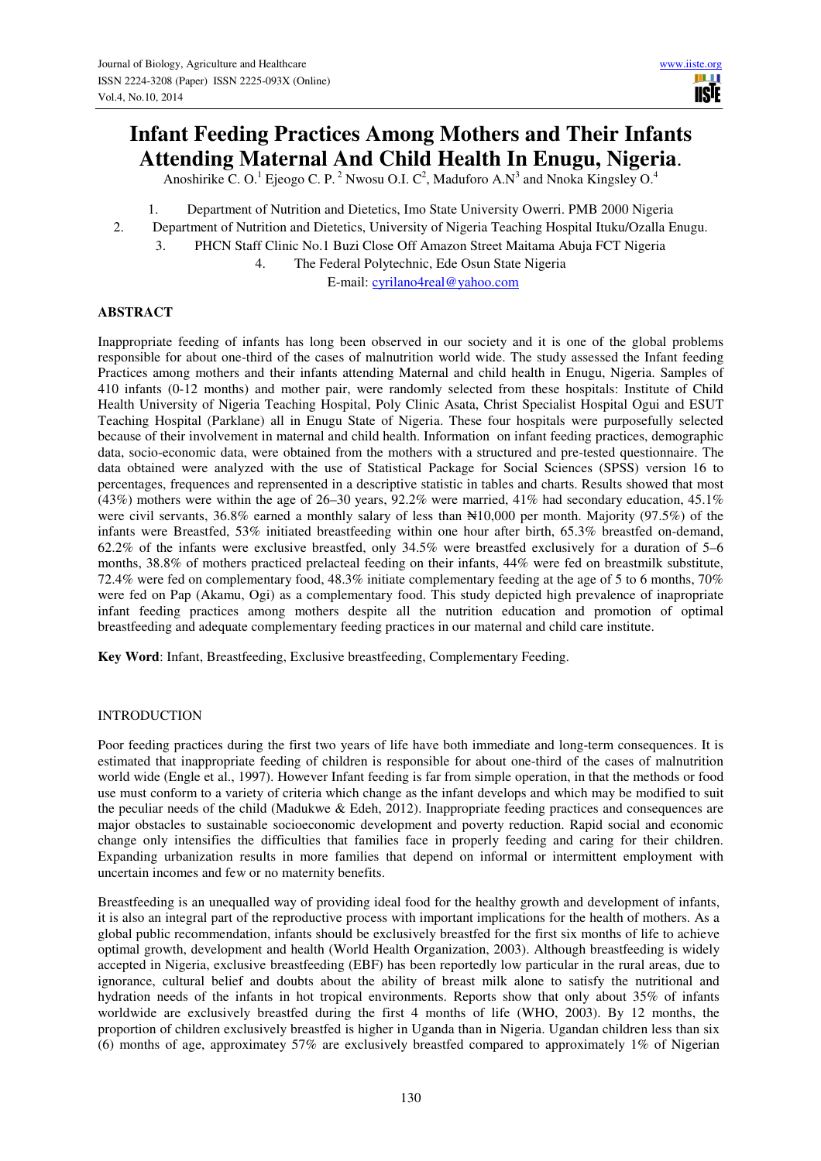# **Infant Feeding Practices Among Mothers and Their Infants Attending Maternal And Child Health In Enugu, Nigeria**.

Anoshirike C. O.<sup>1</sup> Ejeogo C. P.<sup>2</sup> Nwosu O.I. C<sup>2</sup>, Maduforo A.N<sup>3</sup> and Nnoka Kingsley O.<sup>4</sup>

- 1. Department of Nutrition and Dietetics, Imo State University Owerri. PMB 2000 Nigeria
- 2. Department of Nutrition and Dietetics, University of Nigeria Teaching Hospital Ituku/Ozalla Enugu.
	- 3. PHCN Staff Clinic No.1 Buzi Close Off Amazon Street Maitama Abuja FCT Nigeria

4. The Federal Polytechnic, Ede Osun State Nigeria

E-mail: cyrilano4real@yahoo.com

### **ABSTRACT**

Inappropriate feeding of infants has long been observed in our society and it is one of the global problems responsible for about one-third of the cases of malnutrition world wide. The study assessed the Infant feeding Practices among mothers and their infants attending Maternal and child health in Enugu, Nigeria. Samples of 410 infants (0-12 months) and mother pair, were randomly selected from these hospitals: Institute of Child Health University of Nigeria Teaching Hospital, Poly Clinic Asata, Christ Specialist Hospital Ogui and ESUT Teaching Hospital (Parklane) all in Enugu State of Nigeria. These four hospitals were purposefully selected because of their involvement in maternal and child health. Information on infant feeding practices, demographic data, socio-economic data, were obtained from the mothers with a structured and pre-tested questionnaire. The data obtained were analyzed with the use of Statistical Package for Social Sciences (SPSS) version 16 to percentages, frequences and reprensented in a descriptive statistic in tables and charts. Results showed that most (43%) mothers were within the age of 26–30 years, 92.2% were married, 41% had secondary education, 45.1% were civil servants, 36.8% earned a monthly salary of less than  $\mathbb{N}10,000$  per month. Majority (97.5%) of the infants were Breastfed, 53% initiated breastfeeding within one hour after birth, 65.3% breastfed on-demand, 62.2% of the infants were exclusive breastfed, only 34.5% were breastfed exclusively for a duration of 5–6 months, 38.8% of mothers practiced prelacteal feeding on their infants, 44% were fed on breastmilk substitute, 72.4% were fed on complementary food, 48.3% initiate complementary feeding at the age of 5 to 6 months, 70% were fed on Pap (Akamu, Ogi) as a complementary food. This study depicted high prevalence of inapropriate infant feeding practices among mothers despite all the nutrition education and promotion of optimal breastfeeding and adequate complementary feeding practices in our maternal and child care institute.

**Key Word**: Infant, Breastfeeding, Exclusive breastfeeding, Complementary Feeding.

#### INTRODUCTION

Poor feeding practices during the first two years of life have both immediate and long-term consequences. It is estimated that inappropriate feeding of children is responsible for about one-third of the cases of malnutrition world wide (Engle et al., 1997). However Infant feeding is far from simple operation, in that the methods or food use must conform to a variety of criteria which change as the infant develops and which may be modified to suit the peculiar needs of the child (Madukwe & Edeh, 2012). Inappropriate feeding practices and consequences are major obstacles to sustainable socioeconomic development and poverty reduction. Rapid social and economic change only intensifies the difficulties that families face in properly feeding and caring for their children. Expanding urbanization results in more families that depend on informal or intermittent employment with uncertain incomes and few or no maternity benefits.

Breastfeeding is an unequalled way of providing ideal food for the healthy growth and development of infants, it is also an integral part of the reproductive process with important implications for the health of mothers. As a global public recommendation, infants should be exclusively breastfed for the first six months of life to achieve optimal growth, development and health (World Health Organization, 2003). Although breastfeeding is widely accepted in Nigeria, exclusive breastfeeding (EBF) has been reportedly low particular in the rural areas, due to ignorance, cultural belief and doubts about the ability of breast milk alone to satisfy the nutritional and hydration needs of the infants in hot tropical environments. Reports show that only about 35% of infants worldwide are exclusively breastfed during the first 4 months of life (WHO, 2003). By 12 months, the proportion of children exclusively breastfed is higher in Uganda than in Nigeria. Ugandan children less than six (6) months of age, approximatey 57% are exclusively breastfed compared to approximately 1% of Nigerian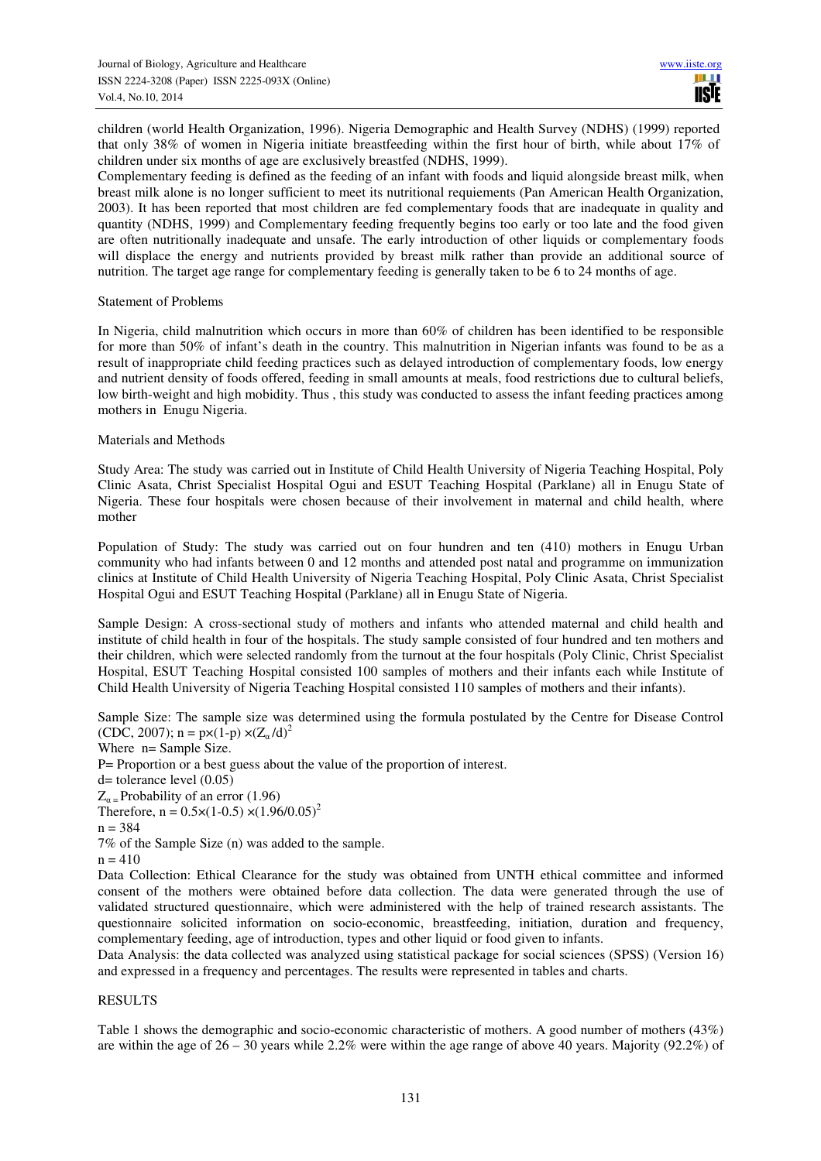children (world Health Organization, 1996). Nigeria Demographic and Health Survey (NDHS) (1999) reported that only 38% of women in Nigeria initiate breastfeeding within the first hour of birth, while about 17% of children under six months of age are exclusively breastfed (NDHS, 1999).

Complementary feeding is defined as the feeding of an infant with foods and liquid alongside breast milk, when breast milk alone is no longer sufficient to meet its nutritional requiements (Pan American Health Organization, 2003). It has been reported that most children are fed complementary foods that are inadequate in quality and quantity (NDHS, 1999) and Complementary feeding frequently begins too early or too late and the food given are often nutritionally inadequate and unsafe. The early introduction of other liquids or complementary foods will displace the energy and nutrients provided by breast milk rather than provide an additional source of nutrition. The target age range for complementary feeding is generally taken to be 6 to 24 months of age.

#### Statement of Problems

In Nigeria, child malnutrition which occurs in more than 60% of children has been identified to be responsible for more than 50% of infant's death in the country. This malnutrition in Nigerian infants was found to be as a result of inappropriate child feeding practices such as delayed introduction of complementary foods, low energy and nutrient density of foods offered, feeding in small amounts at meals, food restrictions due to cultural beliefs, low birth-weight and high mobidity. Thus , this study was conducted to assess the infant feeding practices among mothers in Enugu Nigeria.

#### Materials and Methods

Study Area: The study was carried out in Institute of Child Health University of Nigeria Teaching Hospital, Poly Clinic Asata, Christ Specialist Hospital Ogui and ESUT Teaching Hospital (Parklane) all in Enugu State of Nigeria. These four hospitals were chosen because of their involvement in maternal and child health, where mother

Population of Study: The study was carried out on four hundren and ten (410) mothers in Enugu Urban community who had infants between 0 and 12 months and attended post natal and programme on immunization clinics at Institute of Child Health University of Nigeria Teaching Hospital, Poly Clinic Asata, Christ Specialist Hospital Ogui and ESUT Teaching Hospital (Parklane) all in Enugu State of Nigeria.

Sample Design: A cross-sectional study of mothers and infants who attended maternal and child health and institute of child health in four of the hospitals. The study sample consisted of four hundred and ten mothers and their children, which were selected randomly from the turnout at the four hospitals (Poly Clinic, Christ Specialist Hospital, ESUT Teaching Hospital consisted 100 samples of mothers and their infants each while Institute of Child Health University of Nigeria Teaching Hospital consisted 110 samples of mothers and their infants).

Sample Size: The sample size was determined using the formula postulated by the Centre for Disease Control (CDC, 2007);  $n = px(1-p) \times (Z_a/d)^2$ 

Where n= Sample Size.

P= Proportion or a best guess about the value of the proportion of interest.

 $d=$  tolerance level  $(0.05)$ 

 $Z_{\alpha}$  = Probability of an error (1.96)

Therefore,  $n = 0.5 \times (1-0.5) \times (1.96/0.05)^2$ 

$$
n=384
$$

7% of the Sample Size (n) was added to the sample.

 $n = 410$ 

Data Collection: Ethical Clearance for the study was obtained from UNTH ethical committee and informed consent of the mothers were obtained before data collection. The data were generated through the use of validated structured questionnaire, which were administered with the help of trained research assistants. The questionnaire solicited information on socio-economic, breastfeeding, initiation, duration and frequency, complementary feeding, age of introduction, types and other liquid or food given to infants.

Data Analysis: the data collected was analyzed using statistical package for social sciences (SPSS) (Version 16) and expressed in a frequency and percentages. The results were represented in tables and charts.

#### RESULTS

Table 1 shows the demographic and socio-economic characteristic of mothers. A good number of mothers (43%) are within the age of 26 – 30 years while 2.2% were within the age range of above 40 years. Majority (92.2%) of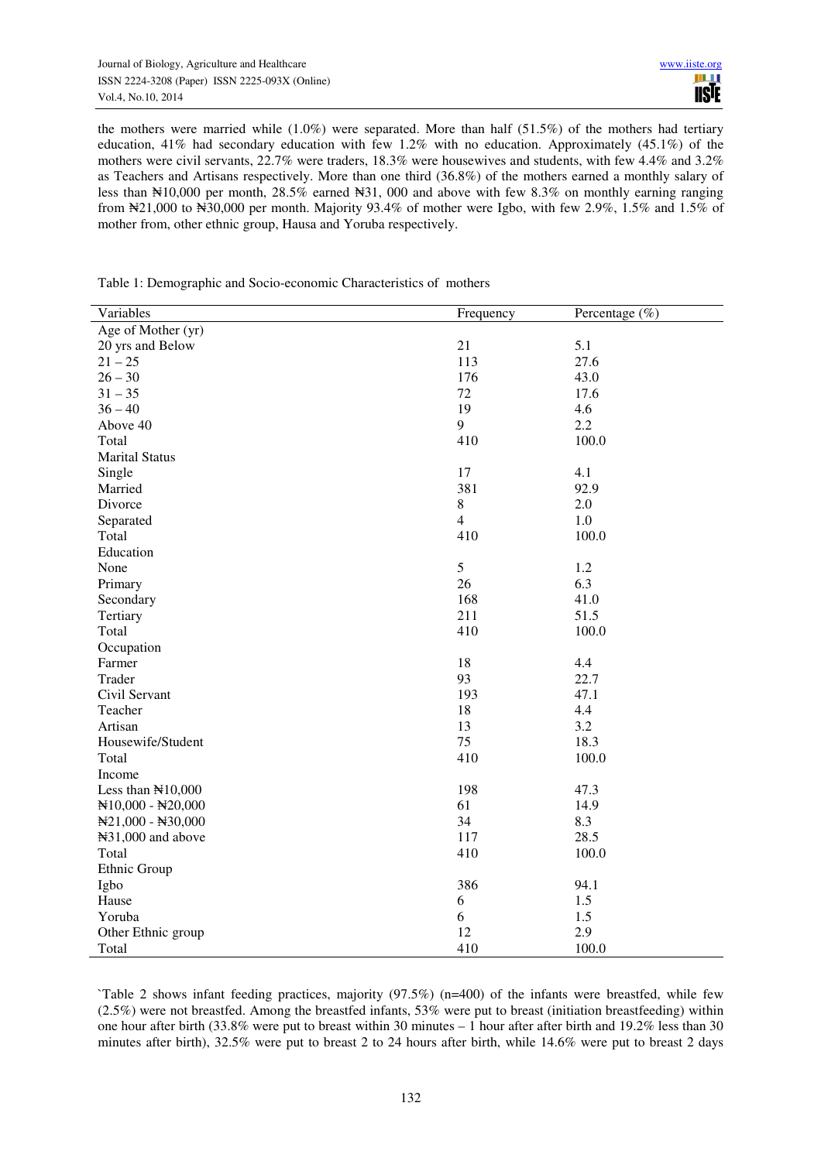the mothers were married while (1.0%) were separated. More than half (51.5%) of the mothers had tertiary education,  $41\%$  had secondary education with few 1.2% with no education. Approximately (45.1%) of the mothers were civil servants, 22.7% were traders, 18.3% were housewives and students, with few 4.4% and 3.2% as Teachers and Artisans respectively. More than one third (36.8%) of the mothers earned a monthly salary of less than  $\text{N10,000}$  per month, 28.5% earned  $\text{N31,000}$  and above with few 8.3% on monthly earning ranging from ₦21,000 to ₦30,000 per month. Majority 93.4% of mother were Igbo, with few 2.9%, 1.5% and 1.5% of mother from, other ethnic group, Hausa and Yoruba respectively.

| Variables                         | Frequency      | Percentage $(\%)$ |  |
|-----------------------------------|----------------|-------------------|--|
| Age of Mother (yr)                |                |                   |  |
| 20 yrs and Below                  | 21             | 5.1               |  |
| $21 - 25$                         | 113            | 27.6              |  |
| $26 - 30$                         | 176            | 43.0              |  |
| $31 - 35$                         | 72             | 17.6              |  |
| $36 - 40$                         | 19             | 4.6               |  |
| Above 40                          | 9              | 2.2               |  |
| Total                             | 410            | 100.0             |  |
| <b>Marital Status</b>             |                |                   |  |
| Single                            | 17             | 4.1               |  |
| Married                           | 381            | 92.9              |  |
| Divorce                           | 8              | 2.0               |  |
| Separated                         | $\overline{4}$ | 1.0               |  |
| Total                             | 410            | 100.0             |  |
| Education                         |                |                   |  |
| None                              | 5              | 1.2               |  |
| Primary                           | 26             | 6.3               |  |
| Secondary                         | 168            | 41.0              |  |
| Tertiary                          | 211            | 51.5              |  |
| Total                             | 410            | 100.0             |  |
| Occupation                        |                |                   |  |
| Farmer                            | 18             | 4.4               |  |
| Trader                            | 93             | 22.7              |  |
| Civil Servant                     | 193            | 47.1              |  |
| Teacher                           | 18             | 4.4               |  |
| Artisan                           | 13             | 3.2               |  |
| Housewife/Student                 | 75             | 18.3              |  |
| Total                             | 410            | 100.0             |  |
| Income                            |                |                   |  |
| Less than $\mathbb{N}10,000$      | 198            | 47.3              |  |
| N10,000 - N20,000                 | 61             | 14.9              |  |
| $\text{N}21,000 - \text{N}30,000$ | 34             | 8.3               |  |
| N <sub>31</sub> ,000 and above    | 117            | 28.5              |  |
| Total                             | 410            | 100.0             |  |
| Ethnic Group                      |                |                   |  |
| Igbo                              | 386            | 94.1              |  |
| Hause                             | $\sqrt{6}$     | 1.5               |  |
| Yoruba                            | 6              | 1.5               |  |
| Other Ethnic group                | 12             | 2.9               |  |
| Total                             | 410            | 100.0             |  |

Table 1: Demographic and Socio-economic Characteristics of mothers

`Table 2 shows infant feeding practices, majority (97.5%) (n=400) of the infants were breastfed, while few (2.5%) were not breastfed. Among the breastfed infants, 53% were put to breast (initiation breastfeeding) within one hour after birth (33.8% were put to breast within 30 minutes – 1 hour after after birth and 19.2% less than 30 minutes after birth), 32.5% were put to breast 2 to 24 hours after birth, while 14.6% were put to breast 2 days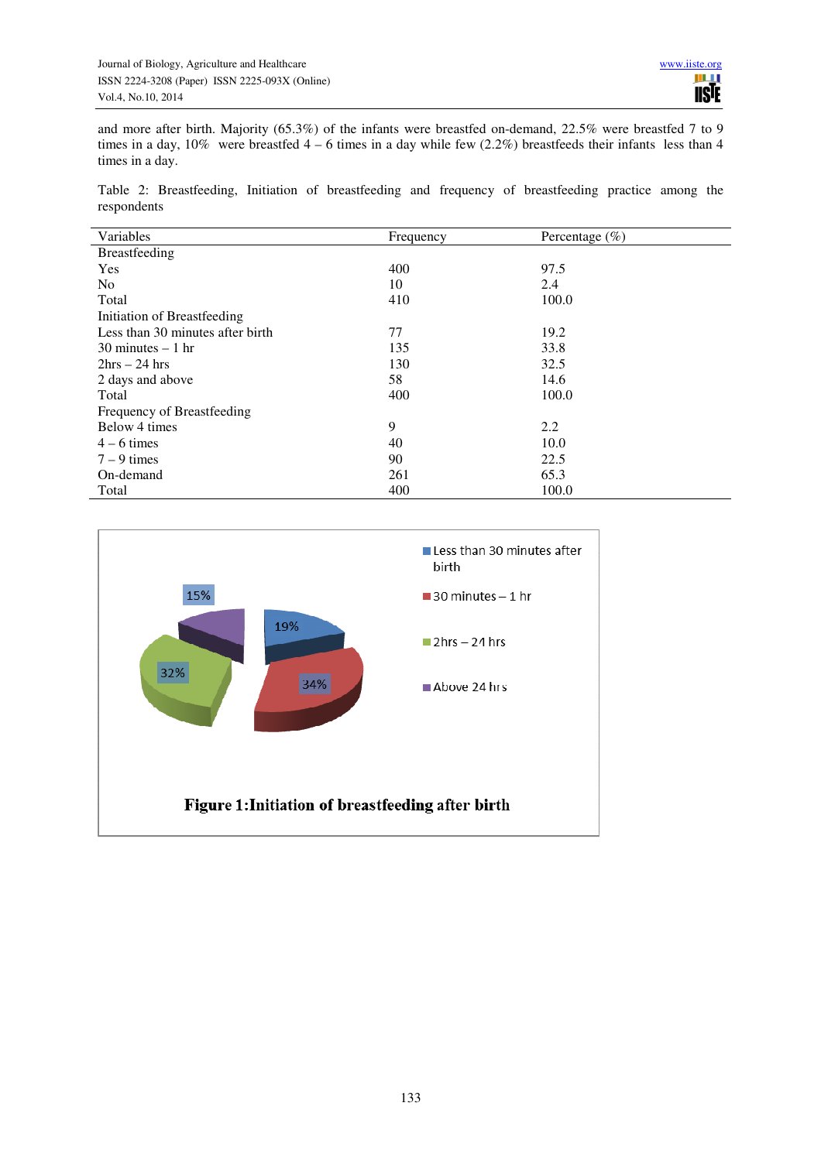and more after birth. Majority (65.3%) of the infants were breastfed on-demand, 22.5% were breastfed 7 to 9 times in a day,  $10\%$  were breastfed  $4 - 6$  times in a day while few  $(2.2\%)$  breastfeeds their infants less than 4 times in a day.

Table 2: Breastfeeding, Initiation of breastfeeding and frequency of breastfeeding practice among the respondents

| Variables                           | Frequency | Percentage $(\% )$ |
|-------------------------------------|-----------|--------------------|
|                                     |           |                    |
| Breastfeeding                       |           |                    |
| Yes                                 | 400       | 97.5               |
| N <sub>0</sub>                      | 10        | 2.4                |
| Total                               | 410       | 100.0              |
| Initiation of Breastfeeding         |           |                    |
| Less than 30 minutes after birth    | 77        | 19.2               |
| $30 \text{ minutes} - 1 \text{ hr}$ | 135       | 33.8               |
| $2hrs - 24 hrs$                     | 130       | 32.5               |
| 2 days and above                    | 58        | 14.6               |
| Total                               | 400       | 100.0              |
| Frequency of Breastfeeding          |           |                    |
| Below 4 times                       | 9         | 2.2                |
| $4 - 6$ times                       | 40        | 10.0               |
| $7 - 9$ times                       | 90        | 22.5               |
| On-demand                           | 261       | 65.3               |
| Total                               | 400       | 100.0              |

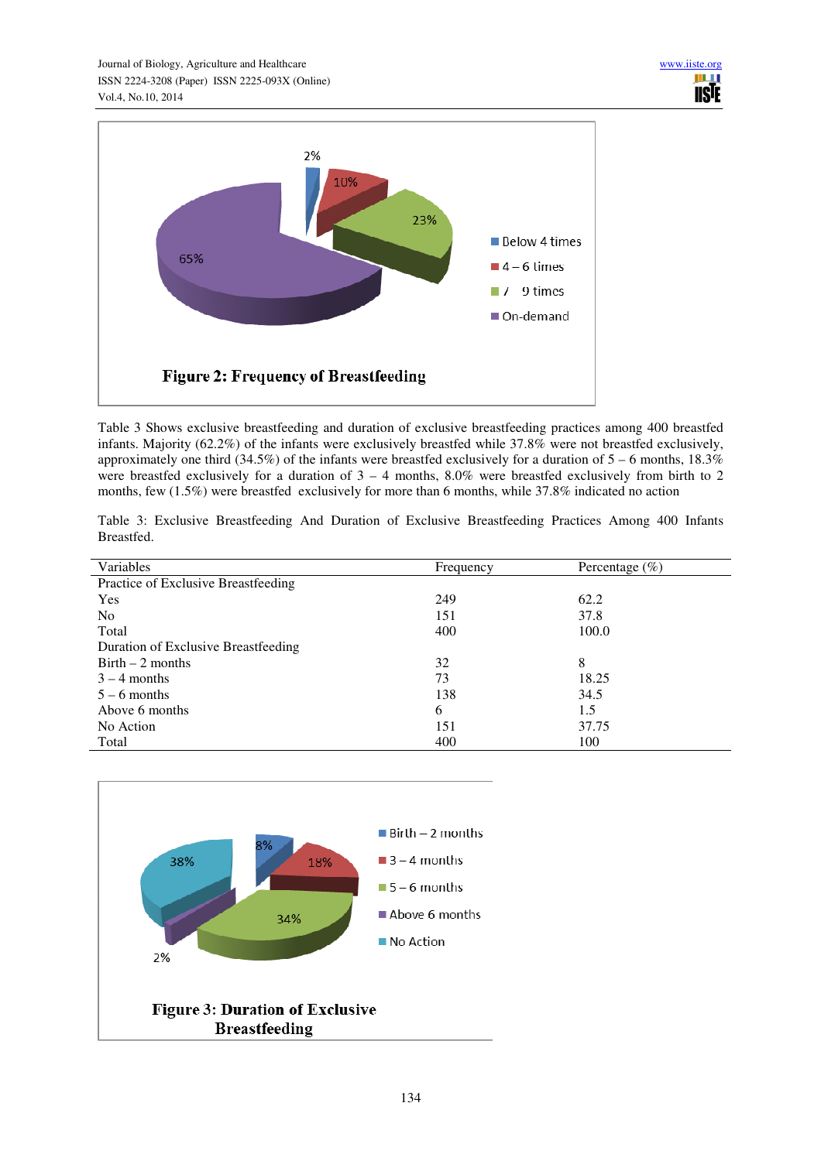

Table 3 Shows exclusive breastfeeding and duration of exclusive breastfeeding practices among 400 breastfed infants. Majority (62.2%) of the infants were exclusively breastfed while 37.8% were not breastfed exclusively, approximately one third (34.5%) of the infants were breastfed exclusively for a duration of  $5 - 6$  months, 18.3% were breastfed exclusively for a duration of  $3 - 4$  months,  $8.0\%$  were breastfed exclusively from birth to 2 months, few (1.5%) were breastfed exclusively for more than 6 months, while 37.8% indicated no action

Table 3: Exclusive Breastfeeding And Duration of Exclusive Breastfeeding Practices Among 400 Infants Breastfed.

| Variables                           | Frequency | Percentage $(\%)$ |
|-------------------------------------|-----------|-------------------|
| Practice of Exclusive Breastfeeding |           |                   |
| Yes                                 | 249       | 62.2              |
| N <sub>0</sub>                      | 151       | 37.8              |
| Total                               | 400       | 100.0             |
| Duration of Exclusive Breastfeeding |           |                   |
| $Birth - 2 months$                  | 32        | 8                 |
| $3 - 4$ months                      | 73        | 18.25             |
| $5 - 6$ months                      | 138       | 34.5              |
| Above 6 months                      | 6         | 1.5               |
| No Action                           | 151       | 37.75             |
| Total                               | 400       | 100               |

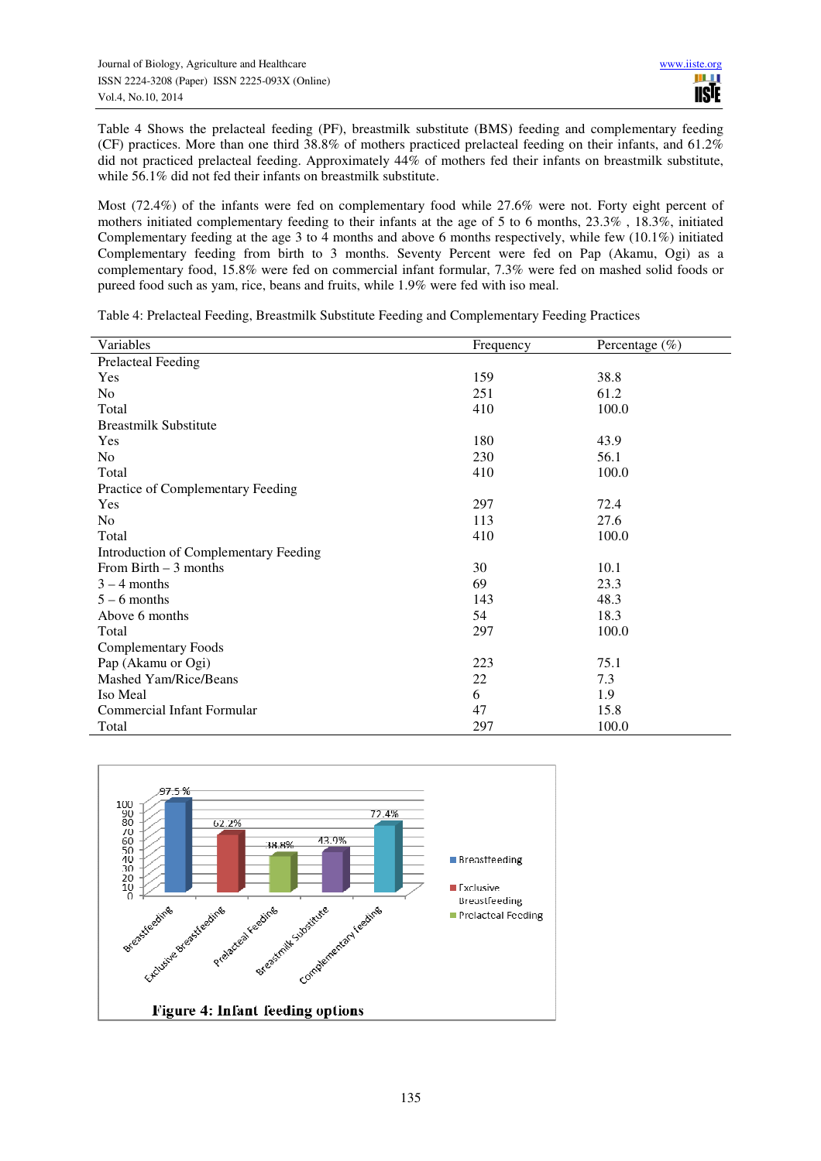Table 4 Shows the prelacteal feeding (PF), breastmilk substitute (BMS) feeding and complementary feeding (CF) practices. More than one third 38.8% of mothers practiced prelacteal feeding on their infants, and 61.2% did not practiced prelacteal feeding. Approximately 44% of mothers fed their infants on breastmilk substitute, while 56.1% did not fed their infants on breastmilk substitute.

Most (72.4%) of the infants were fed on complementary food while 27.6% were not. Forty eight percent of mothers initiated complementary feeding to their infants at the age of 5 to 6 months, 23.3% , 18.3%, initiated Complementary feeding at the age 3 to 4 months and above 6 months respectively, while few  $(10.1\%)$  initiated Complementary feeding from birth to 3 months. Seventy Percent were fed on Pap (Akamu, Ogi) as a complementary food, 15.8% were fed on commercial infant formular, 7.3% were fed on mashed solid foods or pureed food such as yam, rice, beans and fruits, while 1.9% were fed with iso meal.

Table 4: Prelacteal Feeding, Breastmilk Substitute Feeding and Complementary Feeding Practices

| Variables                             | Frequency | Percentage $(\% )$ |
|---------------------------------------|-----------|--------------------|
| <b>Prelacteal Feeding</b>             |           |                    |
| Yes                                   | 159       | 38.8               |
| N <sub>0</sub>                        | 251       | 61.2               |
| Total                                 | 410       | 100.0              |
| <b>Breastmilk Substitute</b>          |           |                    |
| Yes                                   | 180       | 43.9               |
| N <sub>0</sub>                        | 230       | 56.1               |
| Total                                 | 410       | 100.0              |
| Practice of Complementary Feeding     |           |                    |
| Yes                                   | 297       | 72.4               |
| N <sub>0</sub>                        | 113       | 27.6               |
| Total                                 | 410       | 100.0              |
| Introduction of Complementary Feeding |           |                    |
| From Birth $-3$ months                | 30        | 10.1               |
| $3 - 4$ months                        | 69        | 23.3               |
| $5 - 6$ months                        | 143       | 48.3               |
| Above 6 months                        | 54        | 18.3               |
| Total                                 | 297       | 100.0              |
| <b>Complementary Foods</b>            |           |                    |
| Pap (Akamu or Ogi)                    | 223       | 75.1               |
| Mashed Yam/Rice/Beans                 | 22        | 7.3                |
| Iso Meal                              | 6         | 1.9                |
| Commercial Infant Formular            | 47        | 15.8               |
| Total                                 | 297       | 100.0              |

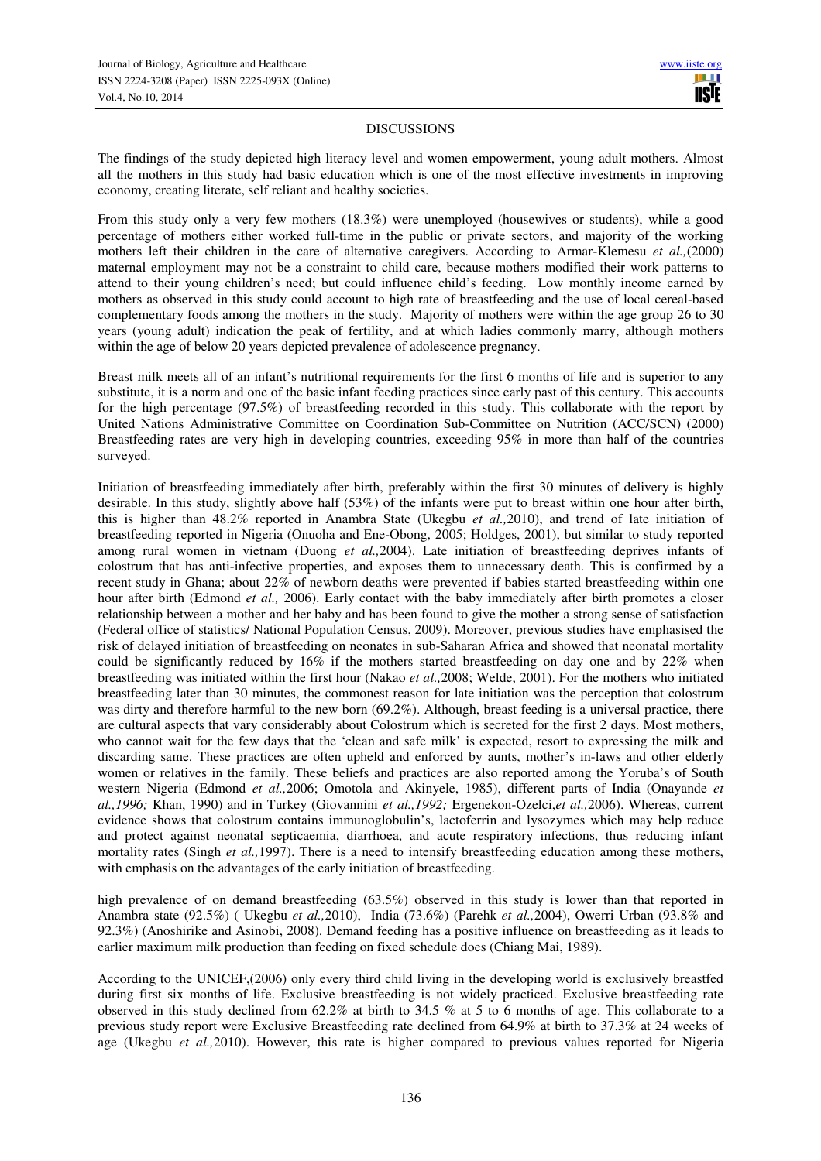#### DISCUSSIONS

The findings of the study depicted high literacy level and women empowerment, young adult mothers. Almost all the mothers in this study had basic education which is one of the most effective investments in improving economy, creating literate, self reliant and healthy societies.

From this study only a very few mothers (18.3%) were unemployed (housewives or students), while a good percentage of mothers either worked full-time in the public or private sectors, and majority of the working mothers left their children in the care of alternative caregivers. According to Armar-Klemesu *et al.,*(2000) maternal employment may not be a constraint to child care, because mothers modified their work patterns to attend to their young children's need; but could influence child's feeding. Low monthly income earned by mothers as observed in this study could account to high rate of breastfeeding and the use of local cereal-based complementary foods among the mothers in the study. Majority of mothers were within the age group 26 to 30 years (young adult) indication the peak of fertility, and at which ladies commonly marry, although mothers within the age of below 20 years depicted prevalence of adolescence pregnancy.

Breast milk meets all of an infant's nutritional requirements for the first 6 months of life and is superior to any substitute, it is a norm and one of the basic infant feeding practices since early past of this century. This accounts for the high percentage (97.5%) of breastfeeding recorded in this study. This collaborate with the report by United Nations Administrative Committee on Coordination Sub-Committee on Nutrition (ACC/SCN) (2000) Breastfeeding rates are very high in developing countries, exceeding 95% in more than half of the countries surveyed.

Initiation of breastfeeding immediately after birth, preferably within the first 30 minutes of delivery is highly desirable. In this study, slightly above half (53%) of the infants were put to breast within one hour after birth, this is higher than 48.2% reported in Anambra State (Ukegbu *et al.,*2010), and trend of late initiation of breastfeeding reported in Nigeria (Onuoha and Ene-Obong, 2005; Holdges, 2001), but similar to study reported among rural women in vietnam (Duong *et al.,*2004). Late initiation of breastfeeding deprives infants of colostrum that has anti-infective properties, and exposes them to unnecessary death. This is confirmed by a recent study in Ghana; about 22% of newborn deaths were prevented if babies started breastfeeding within one hour after birth (Edmond *et al.,* 2006). Early contact with the baby immediately after birth promotes a closer relationship between a mother and her baby and has been found to give the mother a strong sense of satisfaction (Federal office of statistics/ National Population Census, 2009). Moreover, previous studies have emphasised the risk of delayed initiation of breastfeeding on neonates in sub-Saharan Africa and showed that neonatal mortality could be significantly reduced by 16% if the mothers started breastfeeding on day one and by 22% when breastfeeding was initiated within the first hour (Nakao *et al.,*2008; Welde, 2001). For the mothers who initiated breastfeeding later than 30 minutes, the commonest reason for late initiation was the perception that colostrum was dirty and therefore harmful to the new born (69.2%). Although, breast feeding is a universal practice, there are cultural aspects that vary considerably about Colostrum which is secreted for the first 2 days. Most mothers, who cannot wait for the few days that the 'clean and safe milk' is expected, resort to expressing the milk and discarding same. These practices are often upheld and enforced by aunts, mother's in-laws and other elderly women or relatives in the family. These beliefs and practices are also reported among the Yoruba's of South western Nigeria (Edmond *et al.,*2006; Omotola and Akinyele, 1985), different parts of India (Onayande *et al.,1996;* Khan, 1990) and in Turkey (Giovannini *et al.,1992;* Ergenekon-Ozelci,*et al.,*2006). Whereas, current evidence shows that colostrum contains immunoglobulin's, lactoferrin and lysozymes which may help reduce and protect against neonatal septicaemia, diarrhoea, and acute respiratory infections, thus reducing infant mortality rates (Singh *et al.,*1997). There is a need to intensify breastfeeding education among these mothers, with emphasis on the advantages of the early initiation of breastfeeding.

high prevalence of on demand breastfeeding (63.5%) observed in this study is lower than that reported in Anambra state (92.5%) ( Ukegbu *et al.,*2010), India (73.6%) (Parehk *et al.,*2004), Owerri Urban (93.8% and 92.3%) (Anoshirike and Asinobi, 2008). Demand feeding has a positive influence on breastfeeding as it leads to earlier maximum milk production than feeding on fixed schedule does (Chiang Mai, 1989).

According to the UNICEF,(2006) only every third child living in the developing world is exclusively breastfed during first six months of life. Exclusive breastfeeding is not widely practiced. Exclusive breastfeeding rate observed in this study declined from 62.2% at birth to 34.5 % at 5 to 6 months of age. This collaborate to a previous study report were Exclusive Breastfeeding rate declined from 64.9% at birth to 37.3% at 24 weeks of age (Ukegbu *et al.,*2010). However, this rate is higher compared to previous values reported for Nigeria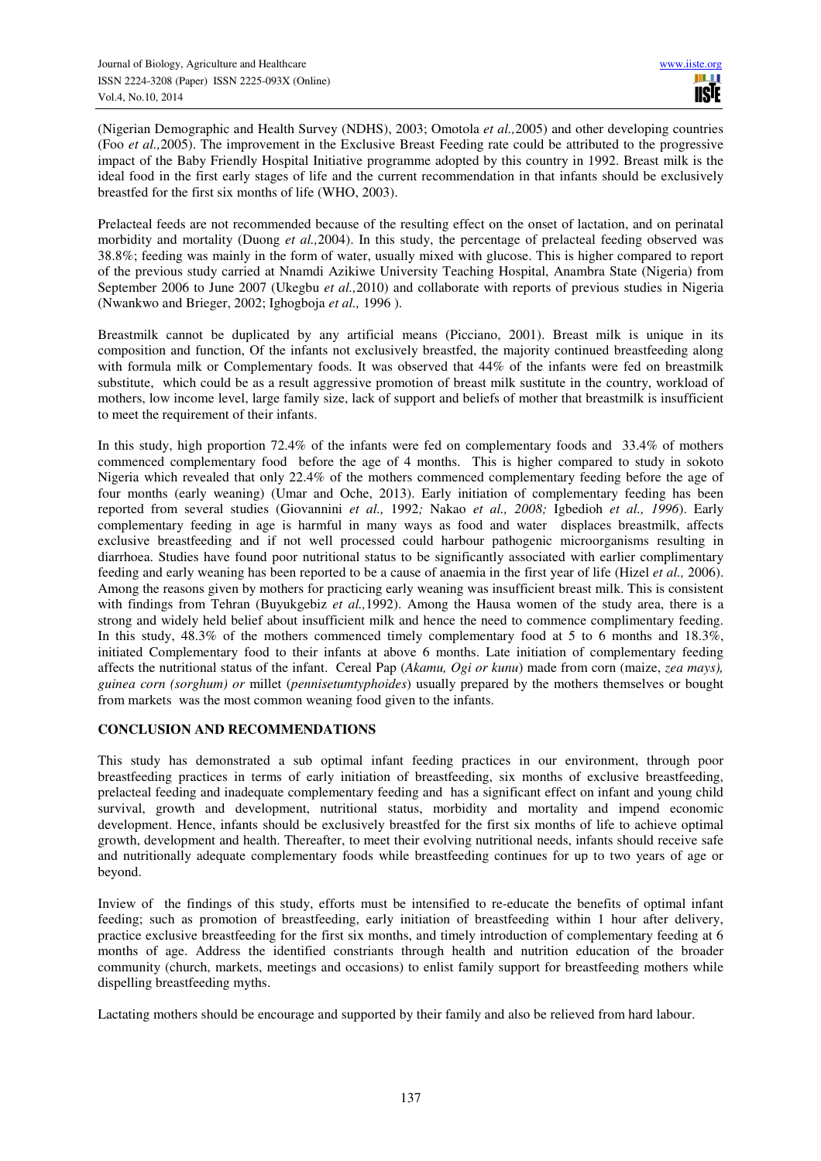(Nigerian Demographic and Health Survey (NDHS), 2003; Omotola *et al.,*2005) and other developing countries (Foo *et al.,*2005). The improvement in the Exclusive Breast Feeding rate could be attributed to the progressive impact of the Baby Friendly Hospital Initiative programme adopted by this country in 1992. Breast milk is the ideal food in the first early stages of life and the current recommendation in that infants should be exclusively breastfed for the first six months of life (WHO, 2003).

Prelacteal feeds are not recommended because of the resulting effect on the onset of lactation, and on perinatal morbidity and mortality (Duong *et al.,*2004). In this study, the percentage of prelacteal feeding observed was 38.8%; feeding was mainly in the form of water, usually mixed with glucose. This is higher compared to report of the previous study carried at Nnamdi Azikiwe University Teaching Hospital, Anambra State (Nigeria) from September 2006 to June 2007 (Ukegbu *et al.,*2010) and collaborate with reports of previous studies in Nigeria (Nwankwo and Brieger, 2002; Ighogboja *et al.,* 1996 ).

Breastmilk cannot be duplicated by any artificial means (Picciano, 2001). Breast milk is unique in its composition and function, Of the infants not exclusively breastfed, the majority continued breastfeeding along with formula milk or Complementary foods. It was observed that 44% of the infants were fed on breastmilk substitute, which could be as a result aggressive promotion of breast milk sustitute in the country, workload of mothers, low income level, large family size, lack of support and beliefs of mother that breastmilk is insufficient to meet the requirement of their infants.

In this study, high proportion 72.4% of the infants were fed on complementary foods and 33.4% of mothers commenced complementary food before the age of 4 months. This is higher compared to study in sokoto Nigeria which revealed that only 22.4% of the mothers commenced complementary feeding before the age of four months (early weaning) (Umar and Oche, 2013). Early initiation of complementary feeding has been reported from several studies (Giovannini *et al.,* 1992*;* Nakao *et al., 2008;* Igbedioh *et al., 1996*). Early complementary feeding in age is harmful in many ways as food and water displaces breastmilk, affects exclusive breastfeeding and if not well processed could harbour pathogenic microorganisms resulting in diarrhoea. Studies have found poor nutritional status to be significantly associated with earlier complimentary feeding and early weaning has been reported to be a cause of anaemia in the first year of life (Hizel *et al.,* 2006). Among the reasons given by mothers for practicing early weaning was insufficient breast milk. This is consistent with findings from Tehran (Buyukgebiz *et al.,*1992). Among the Hausa women of the study area, there is a strong and widely held belief about insufficient milk and hence the need to commence complimentary feeding. In this study, 48.3% of the mothers commenced timely complementary food at 5 to 6 months and 18.3%, initiated Complementary food to their infants at above 6 months. Late initiation of complementary feeding affects the nutritional status of the infant. Cereal Pap (*Akamu, Ogi or kunu*) made from corn (maize, *zea mays), guinea corn (sorghum) or* millet (*pennisetumtyphoides*) usually prepared by the mothers themselves or bought from markets was the most common weaning food given to the infants.

## **CONCLUSION AND RECOMMENDATIONS**

This study has demonstrated a sub optimal infant feeding practices in our environment, through poor breastfeeding practices in terms of early initiation of breastfeeding, six months of exclusive breastfeeding, prelacteal feeding and inadequate complementary feeding and has a significant effect on infant and young child survival, growth and development, nutritional status, morbidity and mortality and impend economic development. Hence, infants should be exclusively breastfed for the first six months of life to achieve optimal growth, development and health. Thereafter, to meet their evolving nutritional needs, infants should receive safe and nutritionally adequate complementary foods while breastfeeding continues for up to two years of age or beyond.

Inview of the findings of this study, efforts must be intensified to re-educate the benefits of optimal infant feeding; such as promotion of breastfeeding, early initiation of breastfeeding within 1 hour after delivery, practice exclusive breastfeeding for the first six months, and timely introduction of complementary feeding at 6 months of age. Address the identified constriants through health and nutrition education of the broader community (church, markets, meetings and occasions) to enlist family support for breastfeeding mothers while dispelling breastfeeding myths.

Lactating mothers should be encourage and supported by their family and also be relieved from hard labour.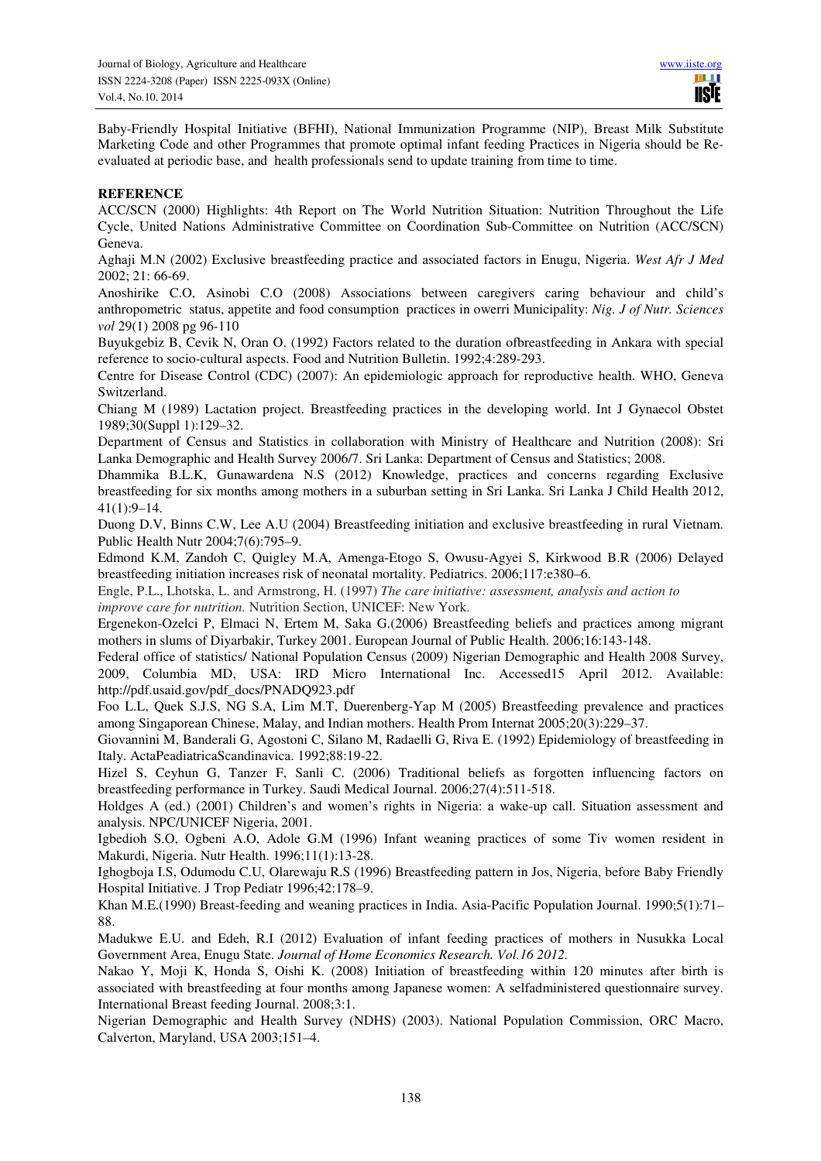Baby-Friendly Hospital Initiative (BFHI), National Immunization Programme (NIP), Breast Milk Substitute Marketing Code and other Programmes that promote optimal infant feeding Practices in Nigeria should be Reevaluated at periodic base, and health professionals send to update training from time to time.

#### **REFERENCE**

ACC/SCN (2000) Highlights: 4th Report on The World Nutrition Situation: Nutrition Throughout the Life Cycle, United Nations Administrative Committee on Coordination Sub-Committee on Nutrition (ACC/SCN) Geneva.

Aghaji M.N (2002) Exclusive breastfeeding practice and associated factors in Enugu, Nigeria. *West Afr J Med*  2002; 21: 66-69.

Anoshirike C.O, Asinobi C.O (2008) Associations between caregivers caring behaviour and child's anthropometric status, appetite and food consumption practices in owerri Municipality: *Nig. J of Nutr. Sciences vol* 29(1) 2008 pg 96-110

Buyukgebiz B, Cevik N, Oran O. (1992) Factors related to the duration ofbreastfeeding in Ankara with special reference to socio-cultural aspects. Food and Nutrition Bulletin. 1992;4:289-293.

Centre for Disease Control (CDC) (2007): An epidemiologic approach for reproductive health. WHO, Geneva Switzerland.

Chiang M (1989) Lactation project. Breastfeeding practices in the developing world. Int J Gynaecol Obstet 1989;30(Suppl 1):129–32.

Department of Census and Statistics in collaboration with Ministry of Healthcare and Nutrition (2008): Sri Lanka Demographic and Health Survey 2006/7. Sri Lanka: Department of Census and Statistics; 2008.

Dhammika B.L.K, Gunawardena N.S (2012) Knowledge, practices and concerns regarding Exclusive breastfeeding for six months among mothers in a suburban setting in Sri Lanka. Sri Lanka J Child Health 2012, 41(1):9–14.

Duong D.V, Binns C.W, Lee A.U (2004) Breastfeeding initiation and exclusive breastfeeding in rural Vietnam. Public Health Nutr 2004;7(6):795–9.

Edmond K.M, Zandoh C, Quigley M.A, Amenga-Etogo S, Owusu-Agyei S, Kirkwood B.R (2006) Delayed breastfeeding initiation increases risk of neonatal mortality. Pediatrics. 2006;117:e380–6.

Engle, P.L., Lhotska, L. and Armstrong, H. (1997) *The care initiative: assessment, analysis and action to improve care for nutrition.* Nutrition Section, UNICEF: New York.

Ergenekon-Ozelci P, Elmaci N, Ertem M, Saka G.(2006) Breastfeeding beliefs and practices among migrant mothers in slums of Diyarbakir, Turkey 2001. European Journal of Public Health. 2006;16:143-148.

Federal office of statistics/ National Population Census (2009) Nigerian Demographic and Health 2008 Survey, 2009, Columbia MD, USA: IRD Micro International Inc. Accessed15 April 2012. Available: http://pdf.usaid.gov/pdf\_docs/PNADQ923.pdf

Foo L.L, Quek S.J.S, NG S.A, Lim M.T, Duerenberg-Yap M (2005) Breastfeeding prevalence and practices among Singaporean Chinese, Malay, and Indian mothers. Health Prom Internat 2005;20(3):229–37.

Giovannini M, Banderali G, Agostoni C, Silano M, Radaelli G, Riva E. (1992) Epidemiology of breastfeeding in Italy. ActaPeadiatricaScandinavica. 1992;88:19-22.

Hizel S, Ceyhun G, Tanzer F, Sanli C. (2006) Traditional beliefs as forgotten influencing factors on breastfeeding performance in Turkey. Saudi Medical Journal. 2006;27(4):511-518.

Holdges A (ed.) (2001) Children's and women's rights in Nigeria: a wake-up call. Situation assessment and analysis. NPC/UNICEF Nigeria, 2001.

Igbedioh S.O, Ogbeni A.O, Adole G.M (1996) Infant weaning practices of some Tiv women resident in Makurdi, Nigeria. Nutr Health. 1996;11(1):13-28.

Ighogboja I.S, Odumodu C.U, Olarewaju R.S (1996) Breastfeeding pattern in Jos, Nigeria, before Baby Friendly Hospital Initiative. J Trop Pediatr 1996;42:178–9.

Khan M.E.(1990) Breast-feeding and weaning practices in India. Asia-Pacific Population Journal. 1990;5(1):71– 88.

Madukwe E.U. and Edeh, R.I (2012) Evaluation of infant feeding practices of mothers in Nusukka Local Government Area, Enugu State. *Journal of Home Economics Research. Vol.16 2012.*

Nakao Y, Moji K, Honda S, Oishi K. (2008) Initiation of breastfeeding within 120 minutes after birth is associated with breastfeeding at four months among Japanese women: A selfadministered questionnaire survey. International Breast feeding Journal. 2008;3:1.

Nigerian Demographic and Health Survey (NDHS) (2003). National Population Commission, ORC Macro, Calverton, Maryland, USA 2003;151–4.